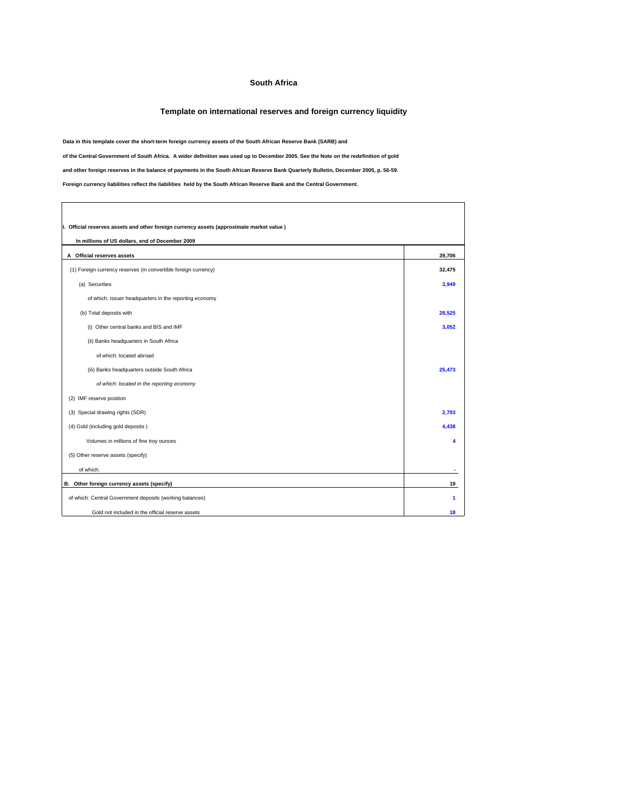## **South Africa**

## **Template on international reserves and foreign currency liquidity**

**Data in this template cover the short-term foreign currency assets of the South African Reserve Bank (SARB) and**

**of the Central Government of South Africa. A wider definition was used up to December 2005. See the Note on the redefinition of gold**

**and other foreign reserves in the balance of payments in the South African Reserve Bank Quarterly Bulletin, December 2005, p. 56-59.**

**Foreign currency liabilities reflect the liabilities held by the South African Reserve Bank and the Central Government.**

 $\Gamma$ 

| I. Official reserves assets and other foreign currency assets (approximate market value) |        |  |  |
|------------------------------------------------------------------------------------------|--------|--|--|
| In millions of US dollars, end of December 2009                                          |        |  |  |
|                                                                                          |        |  |  |
| A Official reserves assets                                                               | 39,706 |  |  |
| (1) Foreign currency reserves (in convertible foreign currency)                          | 32,475 |  |  |
| (a) Securities                                                                           | 3.949  |  |  |
| of which: issuer headquarters in the reporting economy                                   |        |  |  |
| (b) Total deposits with                                                                  | 28,525 |  |  |
| (i) Other central banks and BIS and IMF                                                  | 3,052  |  |  |
| (ii) Banks headquarters in South Africa                                                  |        |  |  |
| of which: located abroad                                                                 |        |  |  |
| (iii) Banks headquarters outside South Africa                                            | 25,473 |  |  |
| of which: located in the reporting economy                                               |        |  |  |
| (2) IMF reserve position                                                                 |        |  |  |
| (3) Special drawing rights (SDR)                                                         | 2.793  |  |  |
| (4) Gold (including gold deposits)                                                       | 4.438  |  |  |
| Volumes in millions of fine troy ounces                                                  |        |  |  |
| (5) Other reserve assets (specify)                                                       |        |  |  |
| of which:                                                                                |        |  |  |
| B. Other foreign currency assets (specify)                                               | 19     |  |  |
| of which: Central Government deposits (working balances)                                 | 1      |  |  |
| Gold not included in the official reserve assets                                         | 18     |  |  |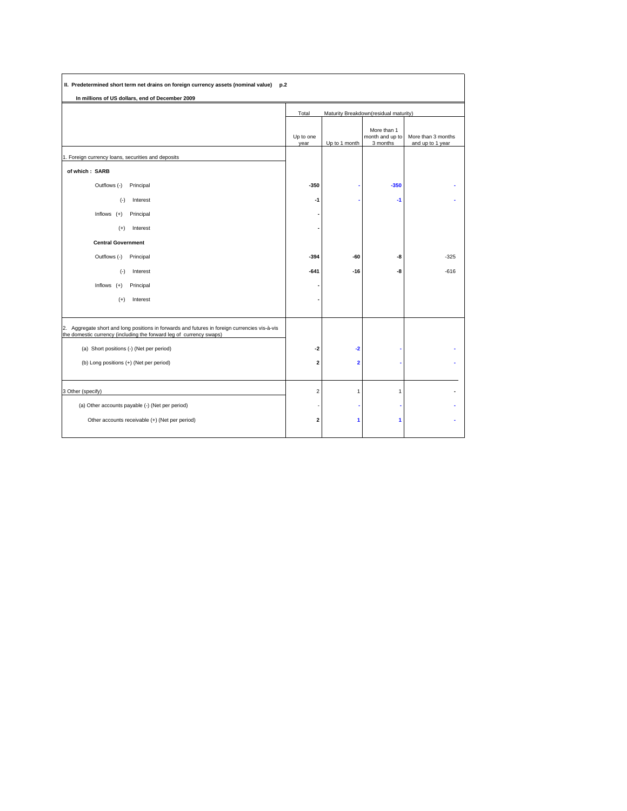| II. Predetermined short term net drains on foreign currency assets (nominal value) p.2                                                                               |                   |                         |                                            |                                        |
|----------------------------------------------------------------------------------------------------------------------------------------------------------------------|-------------------|-------------------------|--------------------------------------------|----------------------------------------|
| In millions of US dollars, end of December 2009                                                                                                                      |                   |                         |                                            |                                        |
|                                                                                                                                                                      | Total             |                         | Maturity Breakdown(residual maturity)      |                                        |
|                                                                                                                                                                      | Up to one<br>year | Up to 1 month           | More than 1<br>month and up to<br>3 months | More than 3 months<br>and up to 1 year |
| 1. Foreign currency loans, securities and deposits                                                                                                                   |                   |                         |                                            |                                        |
| of which: SARB                                                                                                                                                       |                   |                         |                                            |                                        |
| Outflows (-)<br>Principal                                                                                                                                            | $-350$            |                         | $-350$                                     |                                        |
| $(-)$<br>Interest                                                                                                                                                    | $-1$              |                         | $-1$                                       |                                        |
| Inflows $(+)$<br>Principal                                                                                                                                           |                   |                         |                                            |                                        |
| Interest<br>$^{(+)}$                                                                                                                                                 |                   |                         |                                            |                                        |
| <b>Central Government</b>                                                                                                                                            |                   |                         |                                            |                                        |
| Outflows (-)<br>Principal                                                                                                                                            | $-394$            | -60                     | -8                                         | $-325$                                 |
| $(-)$<br>Interest                                                                                                                                                    | $-641$            | $-16$                   | -8                                         | $-616$                                 |
| Inflows $(+)$<br>Principal                                                                                                                                           |                   |                         |                                            |                                        |
| Interest<br>$(+)$                                                                                                                                                    |                   |                         |                                            |                                        |
|                                                                                                                                                                      |                   |                         |                                            |                                        |
| 2. Aggregate short and long positions in forwards and futures in foreign currencies vis-à-vis<br>the domestic currency (including the forward leg of currency swaps) |                   |                         |                                            |                                        |
| (a) Short positions (-) (Net per period)                                                                                                                             | $-2$              | $-2$                    |                                            |                                        |
| (b) Long positions (+) (Net per period)                                                                                                                              | $\mathbf 2$       | $\overline{\mathbf{2}}$ |                                            |                                        |
|                                                                                                                                                                      |                   |                         |                                            |                                        |
| 3 Other (specify)                                                                                                                                                    | $\overline{2}$    | $\mathbf{1}$            | 1                                          |                                        |
| (a) Other accounts payable (-) (Net per period)                                                                                                                      |                   |                         |                                            |                                        |
| Other accounts receivable (+) (Net per period)                                                                                                                       | $\mathbf 2$       | 1                       | 1                                          |                                        |
|                                                                                                                                                                      |                   |                         |                                            |                                        |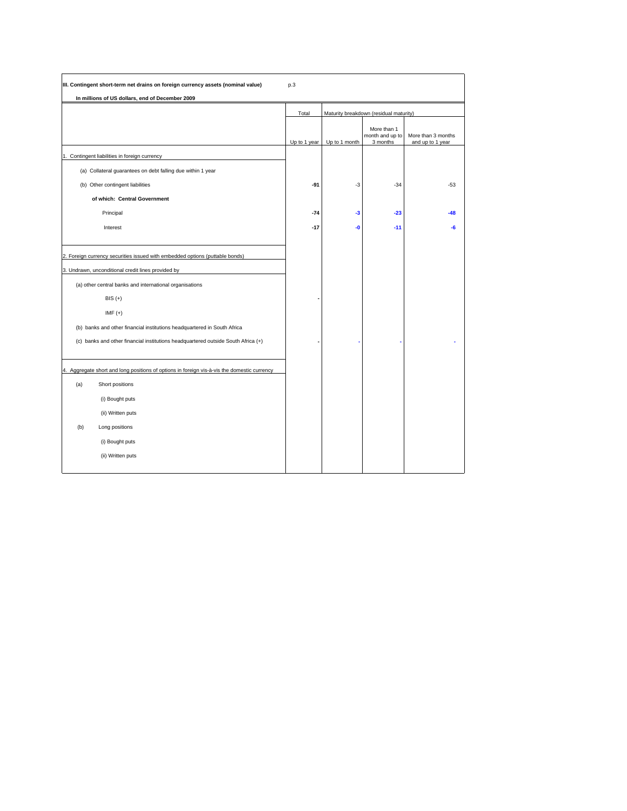| III. Contingent short-term net drains on foreign currency assets (nominal value)                                                                                                                                                                                                                                                                                                                                                                                                        | p.3          |               |                                            |                                        |
|-----------------------------------------------------------------------------------------------------------------------------------------------------------------------------------------------------------------------------------------------------------------------------------------------------------------------------------------------------------------------------------------------------------------------------------------------------------------------------------------|--------------|---------------|--------------------------------------------|----------------------------------------|
| In millions of US dollars, end of December 2009                                                                                                                                                                                                                                                                                                                                                                                                                                         |              |               |                                            |                                        |
|                                                                                                                                                                                                                                                                                                                                                                                                                                                                                         | Total        |               | Maturity breakdown (residual maturity)     |                                        |
|                                                                                                                                                                                                                                                                                                                                                                                                                                                                                         | Up to 1 year | Up to 1 month | More than 1<br>month and up to<br>3 months | More than 3 months<br>and up to 1 year |
| 1. Contingent liabilities in foreign currency                                                                                                                                                                                                                                                                                                                                                                                                                                           |              |               |                                            |                                        |
| (a) Collateral guarantees on debt falling due within 1 year                                                                                                                                                                                                                                                                                                                                                                                                                             |              |               |                                            |                                        |
| (b) Other contingent liabilities                                                                                                                                                                                                                                                                                                                                                                                                                                                        | $-91$        | $-3$          | $-34$                                      | $-53$                                  |
| of which: Central Government                                                                                                                                                                                                                                                                                                                                                                                                                                                            |              |               |                                            |                                        |
| Principal                                                                                                                                                                                                                                                                                                                                                                                                                                                                               | $-74$        | -3            | $-23$                                      | $-48$                                  |
| Interest                                                                                                                                                                                                                                                                                                                                                                                                                                                                                | $-17$        | -0            | $-11$                                      | -6                                     |
| 2. Foreign currency securities issued with embedded options (puttable bonds)<br>3. Undrawn, unconditional credit lines provided by<br>(a) other central banks and international organisations<br>$BIS (+)$<br>$IMF (+)$<br>(b) banks and other financial institutions headquartered in South Africa<br>(c) banks and other financial institutions headquartered outside South Africa (+)<br>4. Aggregate short and long positions of options in foreign vis-à-vis the domestic currency |              |               |                                            |                                        |
| Short positions<br>(a)<br>(i) Bought puts<br>(ii) Written puts<br>(b)<br>Long positions<br>(i) Bought puts<br>(ii) Written puts                                                                                                                                                                                                                                                                                                                                                         |              |               |                                            |                                        |